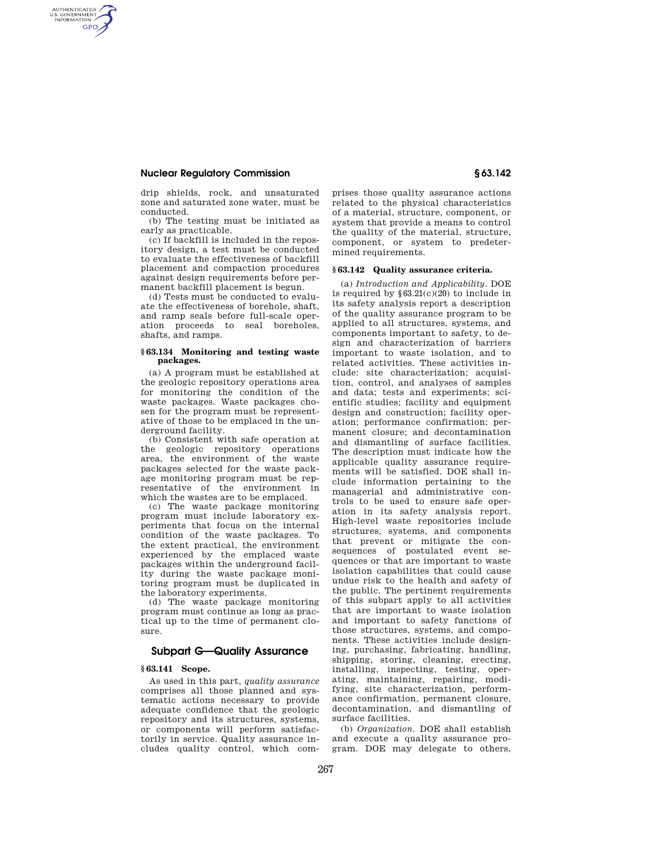# **Nuclear Regulatory Commission § 63.142**

AUTHENTICATED<br>U.S. GOVERNMENT<br>INFORMATION **GPO** 

> drip shields, rock, and unsaturated zone and saturated zone water, must be conducted.

> (b) The testing must be initiated as early as practicable.

> (c) If backfill is included in the repository design, a test must be conducted to evaluate the effectiveness of backfill placement and compaction procedures against design requirements before permanent backfill placement is begun.

> (d) Tests must be conducted to evaluate the effectiveness of borehole, shaft, and ramp seals before full-scale operation proceeds to seal boreholes, shafts, and ramps.

#### **§ 63.134 Monitoring and testing waste packages.**

(a) A program must be established at the geologic repository operations area for monitoring the condition of the waste packages. Waste packages chosen for the program must be representative of those to be emplaced in the underground facility.

(b) Consistent with safe operation at the geologic repository operations area, the environment of the waste packages selected for the waste package monitoring program must be representative of the environment in which the wastes are to be emplaced.

(c) The waste package monitoring program must include laboratory experiments that focus on the internal condition of the waste packages. To the extent practical, the environment experienced by the emplaced waste packages within the underground facility during the waste package monitoring program must be duplicated in the laboratory experiments.

(d) The waste package monitoring program must continue as long as practical up to the time of permanent closure.

# **Subpart G—Quality Assurance**

## **§ 63.141 Scope.**

As used in this part, *quality assurance*  comprises all those planned and systematic actions necessary to provide adequate confidence that the geologic repository and its structures, systems, or components will perform satisfactorily in service. Quality assurance includes quality control, which com-

prises those quality assurance actions related to the physical characteristics of a material, structure, component, or system that provide a means to control the quality of the material, structure, component, or system to predetermined requirements.

#### **§ 63.142 Quality assurance criteria.**

(a) *Introduction and Applicability.* DOE is required by  $\S 63.21(c)(20)$  to include in its safety analysis report a description of the quality assurance program to be applied to all structures, systems, and components important to safety, to design and characterization of barriers important to waste isolation, and to related activities. These activities include: site characterization; acquisition, control, and analyses of samples and data; tests and experiments; scientific studies; facility and equipment design and construction; facility operation; performance confirmation; permanent closure; and decontamination and dismantling of surface facilities. The description must indicate how the applicable quality assurance requirements will be satisfied. DOE shall include information pertaining to the managerial and administrative controls to be used to ensure safe operation in its safety analysis report. High-level waste repositories include structures, systems, and components that prevent or mitigate the consequences of postulated event sequences or that are important to waste isolation capabilities that could cause undue risk to the health and safety of the public. The pertinent requirements of this subpart apply to all activities that are important to waste isolation and important to safety functions of those structures, systems, and components. These activities include designing, purchasing, fabricating, handling, shipping, storing, cleaning, erecting, installing, inspecting, testing, operating, maintaining, repairing, modifying, site characterization, performance confirmation, permanent closure, decontamination, and dismantling of surface facilities.

(b) *Organization.* DOE shall establish and execute a quality assurance program. DOE may delegate to others,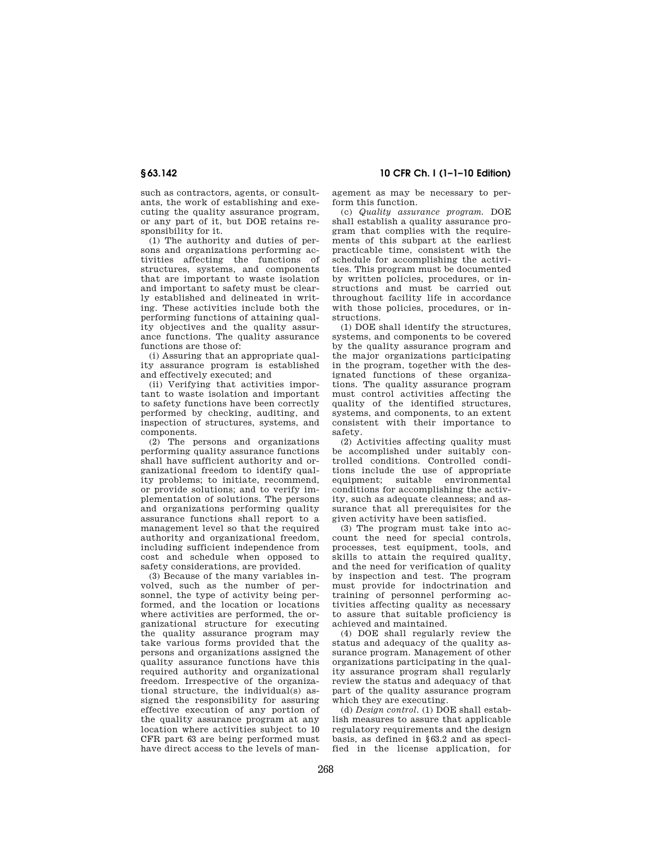such as contractors, agents, or consultants, the work of establishing and executing the quality assurance program, or any part of it, but DOE retains responsibility for it.

(1) The authority and duties of persons and organizations performing activities affecting the functions of structures, systems, and components that are important to waste isolation and important to safety must be clearly established and delineated in writing. These activities include both the performing functions of attaining quality objectives and the quality assurance functions. The quality assurance functions are those of:

(i) Assuring that an appropriate quality assurance program is established and effectively executed; and

(ii) Verifying that activities important to waste isolation and important to safety functions have been correctly performed by checking, auditing, and inspection of structures, systems, and components.

(2) The persons and organizations performing quality assurance functions shall have sufficient authority and organizational freedom to identify quality problems; to initiate, recommend, or provide solutions; and to verify implementation of solutions. The persons and organizations performing quality assurance functions shall report to a management level so that the required authority and organizational freedom, including sufficient independence from cost and schedule when opposed to safety considerations, are provided.

(3) Because of the many variables involved, such as the number of personnel, the type of activity being performed, and the location or locations where activities are performed, the organizational structure for executing the quality assurance program may take various forms provided that the persons and organizations assigned the quality assurance functions have this required authority and organizational freedom. Irrespective of the organizational structure, the individual(s) assigned the responsibility for assuring effective execution of any portion of the quality assurance program at any location where activities subject to 10 CFR part 63 are being performed must have direct access to the levels of man-

**§ 63.142 10 CFR Ch. I (1–1–10 Edition)** 

agement as may be necessary to perform this function.

(c) *Quality assurance program.* DOE shall establish a quality assurance program that complies with the requirements of this subpart at the earliest practicable time, consistent with the schedule for accomplishing the activities. This program must be documented by written policies, procedures, or instructions and must be carried out throughout facility life in accordance with those policies, procedures, or instructions.

(1) DOE shall identify the structures, systems, and components to be covered by the quality assurance program and the major organizations participating in the program, together with the designated functions of these organizations. The quality assurance program must control activities affecting the quality of the identified structures, systems, and components, to an extent consistent with their importance to safety.

(2) Activities affecting quality must be accomplished under suitably controlled conditions. Controlled conditions include the use of appropriate equipment; suitable environmental conditions for accomplishing the activity, such as adequate cleanness; and assurance that all prerequisites for the given activity have been satisfied.

(3) The program must take into account the need for special controls, processes, test equipment, tools, and skills to attain the required quality, and the need for verification of quality by inspection and test. The program must provide for indoctrination and training of personnel performing activities affecting quality as necessary to assure that suitable proficiency is achieved and maintained.

(4) DOE shall regularly review the status and adequacy of the quality assurance program. Management of other organizations participating in the quality assurance program shall regularly review the status and adequacy of that part of the quality assurance program which they are executing.

(d) *Design control.* (1) DOE shall establish measures to assure that applicable regulatory requirements and the design basis, as defined in §63.2 and as specified in the license application, for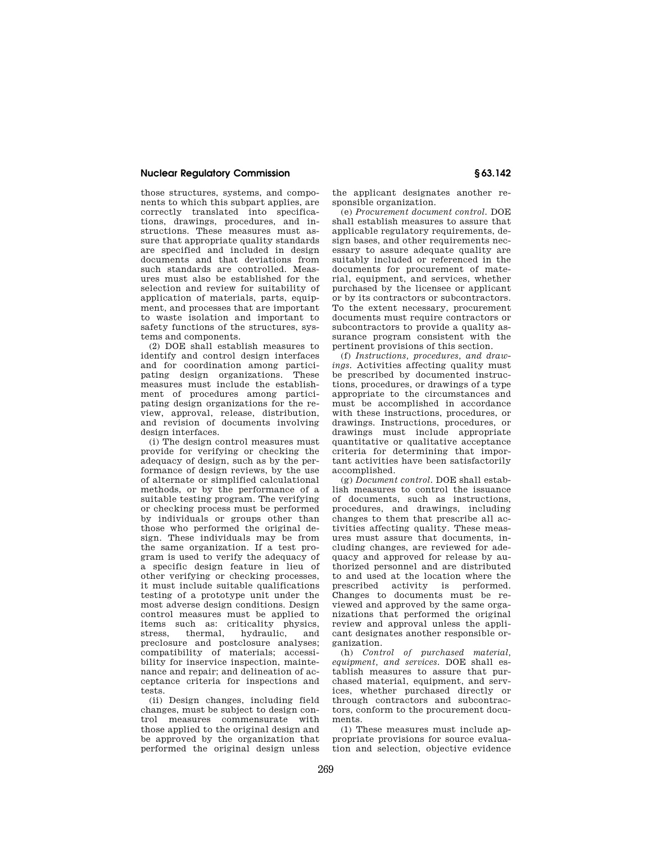## **Nuclear Regulatory Commission § 63.142**

those structures, systems, and components to which this subpart applies, are correctly translated into specifications, drawings, procedures, and instructions. These measures must assure that appropriate quality standards are specified and included in design documents and that deviations from such standards are controlled. Measures must also be established for the selection and review for suitability of application of materials, parts, equipment, and processes that are important to waste isolation and important to safety functions of the structures, systems and components.

(2) DOE shall establish measures to identify and control design interfaces and for coordination among participating design organizations. These measures must include the establishment of procedures among participating design organizations for the review, approval, release, distribution, and revision of documents involving design interfaces.

(i) The design control measures must provide for verifying or checking the adequacy of design, such as by the performance of design reviews, by the use of alternate or simplified calculational methods, or by the performance of a suitable testing program. The verifying or checking process must be performed by individuals or groups other than those who performed the original design. These individuals may be from the same organization. If a test program is used to verify the adequacy of a specific design feature in lieu of other verifying or checking processes, it must include suitable qualifications testing of a prototype unit under the most adverse design conditions. Design control measures must be applied to items such as: criticality physics,<br>stress, thermal, hydraulic, and stress, thermal, hydraulic, and preclosure and postclosure analyses; compatibility of materials; accessibility for inservice inspection, maintenance and repair; and delineation of acceptance criteria for inspections and tests.

(ii) Design changes, including field changes, must be subject to design control measures commensurate with those applied to the original design and be approved by the organization that performed the original design unless the applicant designates another responsible organization.

(e) *Procurement document control.* DOE shall establish measures to assure that applicable regulatory requirements, design bases, and other requirements necessary to assure adequate quality are suitably included or referenced in the documents for procurement of material, equipment, and services, whether purchased by the licensee or applicant or by its contractors or subcontractors. To the extent necessary, procurement documents must require contractors or subcontractors to provide a quality assurance program consistent with the pertinent provisions of this section.

(f) *Instructions, procedures, and drawings.* Activities affecting quality must be prescribed by documented instructions, procedures, or drawings of a type appropriate to the circumstances and must be accomplished in accordance with these instructions, procedures, or drawings. Instructions, procedures, or drawings must include appropriate quantitative or qualitative acceptance criteria for determining that important activities have been satisfactorily accomplished.

(g) *Document control.* DOE shall establish measures to control the issuance of documents, such as instructions, procedures, and drawings, including changes to them that prescribe all activities affecting quality. These measures must assure that documents, including changes, are reviewed for adequacy and approved for release by authorized personnel and are distributed to and used at the location where the prescribed activity is performed. Changes to documents must be reviewed and approved by the same organizations that performed the original review and approval unless the applicant designates another responsible organization.

(h) *Control of purchased material, equipment, and services.* DOE shall establish measures to assure that purchased material, equipment, and services, whether purchased directly or through contractors and subcontractors, conform to the procurement documents.

(1) These measures must include appropriate provisions for source evaluation and selection, objective evidence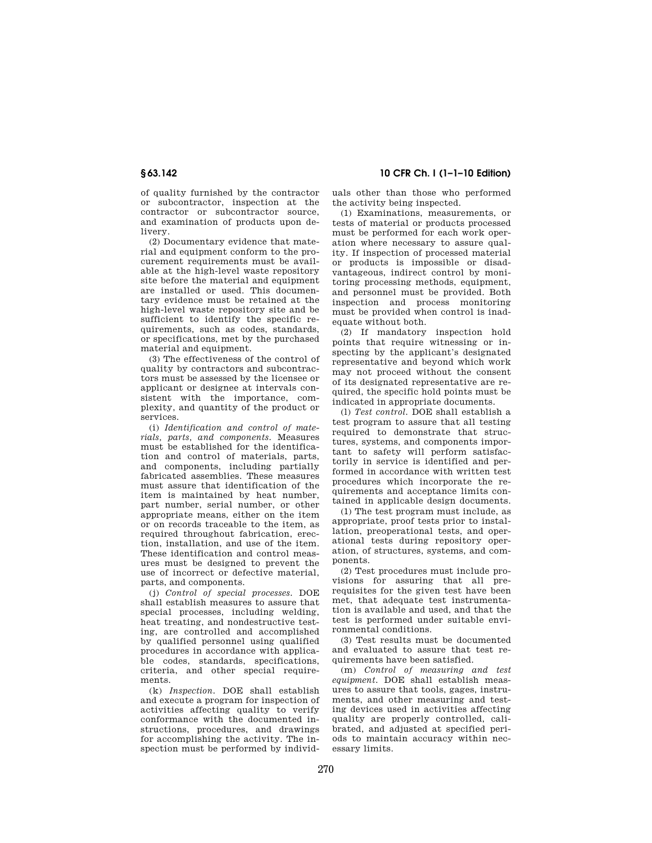of quality furnished by the contractor or subcontractor, inspection at the contractor or subcontractor source, and examination of products upon delivery.

(2) Documentary evidence that material and equipment conform to the procurement requirements must be available at the high-level waste repository site before the material and equipment are installed or used. This documentary evidence must be retained at the high-level waste repository site and be sufficient to identify the specific requirements, such as codes, standards, or specifications, met by the purchased material and equipment.

(3) The effectiveness of the control of quality by contractors and subcontractors must be assessed by the licensee or applicant or designee at intervals consistent with the importance, complexity, and quantity of the product or services.

(i) *Identification and control of materials, parts, and components.* Measures must be established for the identification and control of materials, parts, and components, including partially fabricated assemblies. These measures must assure that identification of the item is maintained by heat number, part number, serial number, or other appropriate means, either on the item or on records traceable to the item, as required throughout fabrication, erection, installation, and use of the item. These identification and control measures must be designed to prevent the use of incorrect or defective material, parts, and components.

(j) *Control of special processes.* DOE shall establish measures to assure that special processes, including welding, heat treating, and nondestructive testing, are controlled and accomplished by qualified personnel using qualified procedures in accordance with applicable codes, standards, specifications, criteria, and other special requirements.

(k) *Inspection.* DOE shall establish and execute a program for inspection of activities affecting quality to verify conformance with the documented instructions, procedures, and drawings for accomplishing the activity. The inspection must be performed by individ-

**§ 63.142 10 CFR Ch. I (1–1–10 Edition)** 

uals other than those who performed the activity being inspected.

(1) Examinations, measurements, or tests of material or products processed must be performed for each work operation where necessary to assure quality. If inspection of processed material or products is impossible or disadvantageous, indirect control by monitoring processing methods, equipment, and personnel must be provided. Both inspection and process monitoring must be provided when control is inadequate without both.

(2) If mandatory inspection hold points that require witnessing or inspecting by the applicant's designated representative and beyond which work may not proceed without the consent of its designated representative are required, the specific hold points must be indicated in appropriate documents.

(l) *Test control.* DOE shall establish a test program to assure that all testing required to demonstrate that structures, systems, and components important to safety will perform satisfactorily in service is identified and performed in accordance with written test procedures which incorporate the requirements and acceptance limits contained in applicable design documents.

(1) The test program must include, as appropriate, proof tests prior to installation, preoperational tests, and operational tests during repository operation, of structures, systems, and components.

(2) Test procedures must include provisions for assuring that all prerequisites for the given test have been met, that adequate test instrumentation is available and used, and that the test is performed under suitable environmental conditions.

(3) Test results must be documented and evaluated to assure that test requirements have been satisfied.

(m) *Control of measuring and test equipment.* DOE shall establish measures to assure that tools, gages, instruments, and other measuring and testing devices used in activities affecting quality are properly controlled, calibrated, and adjusted at specified periods to maintain accuracy within necessary limits.